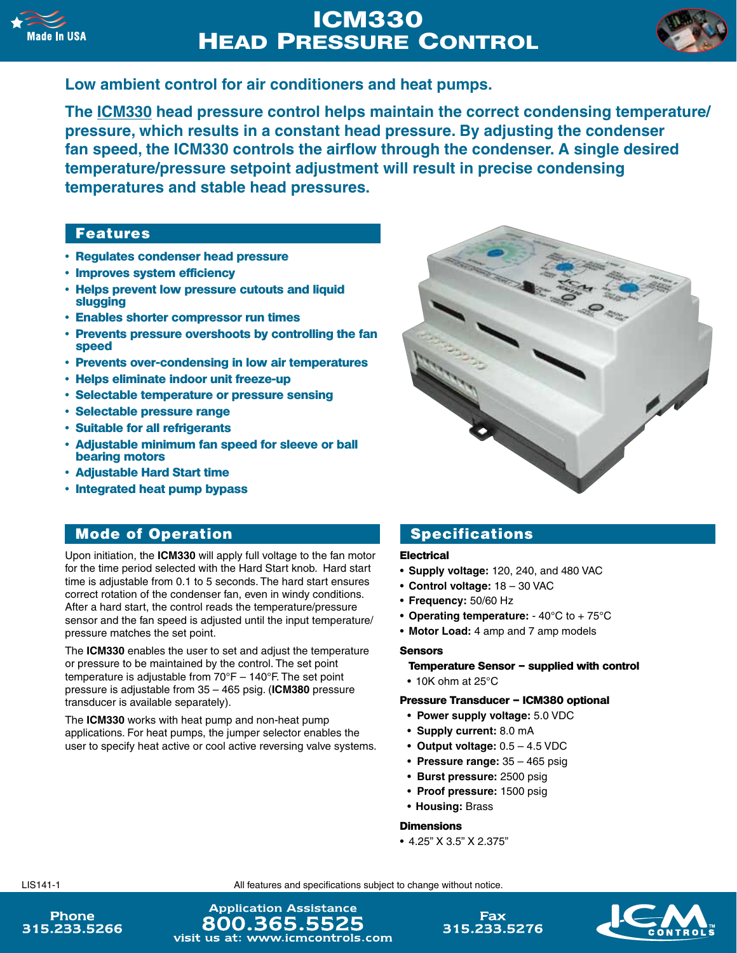

# **ICM330 HEAD PRESSURE CONTROL**



## **Low ambient control for air conditioners and heat pumps.**

**The ICM330 head pressure control helps maintain the correct condensing temperature/ pressure, which results in a constant head pressure. By adjusting the condenser fan speed, the ICM330 controls the airflow through the condenser. A single desired temperature/pressure setpoint adjustment will result in precise condensing temperatures and stable head pressures.**

## Features

- **• Regulates condenser head pressure**
- **• Improves system efficiency**
- **• Helps prevent low pressure cutouts and liquid slugging**
- **• Enables shorter compressor run times**
- **• Prevents pressure overshoots by controlling the fan speed**
- **• Prevents over-condensing in low air temperatures**
- **• Helps eliminate indoor unit freeze-up**
- **• Selectable temperature or pressure sensing**
- **• Selectable pressure range**
- **• Suitable for all refrigerants**
- **• Adjustable minimum fan speed for sleeve or ball bearing motors**
- **• Adjustable Hard Start time**
- **• Integrated heat pump bypass**

## Mode of Operation

Upon initiation, the **ICM330** will apply full voltage to the fan motor for the time period selected with the Hard Start knob. Hard start time is adjustable from 0.1 to 5 seconds. The hard start ensures correct rotation of the condenser fan, even in windy conditions. After a hard start, the control reads the temperature/pressure sensor and the fan speed is adjusted until the input temperature/ pressure matches the set point.

The **ICM330** enables the user to set and adjust the temperature or pressure to be maintained by the control. The set point temperature is adjustable from  $70^{\circ}F - 140^{\circ}F$ . The set point pressure is adjustable from 35 – 465 psig. (**ICM380** pressure transducer is available separately).

The **ICM330** works with heat pump and non-heat pump applications. For heat pumps, the jumper selector enables the user to specify heat active or cool active reversing valve systems.

## Specifications

### **Electrical**

- • **Supply voltage:** 120, 240, and 480 VAC
- • **Control voltage:** 18 30 VAC
- • **Frequency:** 50/60 Hz
- **Operating temperature:** 40°C to + 75°C
- Motor Load: 4 amp and 7 amp models

### **Sensors**

#### **Temperature Sensor – supplied with control**

 $\bullet$  10K ohm at 25 $^{\circ}$ C

#### **Pressure Transducer – ICM380 optional**

- • **Power supply voltage:** 5.0 VDC
- • **Supply current:** 8.0 mA
- • **Output voltage:** 0.5 4.5 VDC
- • **Pressure range:** 35 465 psig
- • **Burst pressure:** 2500 psig
- • **Proof pressure:** 1500 psig
- • **Housing:** Brass

#### **Dimensions**

• 4.25" X 3.5" X 2.375"

LIS141-1 All features and specifications subject to change without notice.

Phone 315.233.5266

**Application Assistance** 800.365.5525 visit us at: www.icmcontrols.com

Fax 315.233.5276